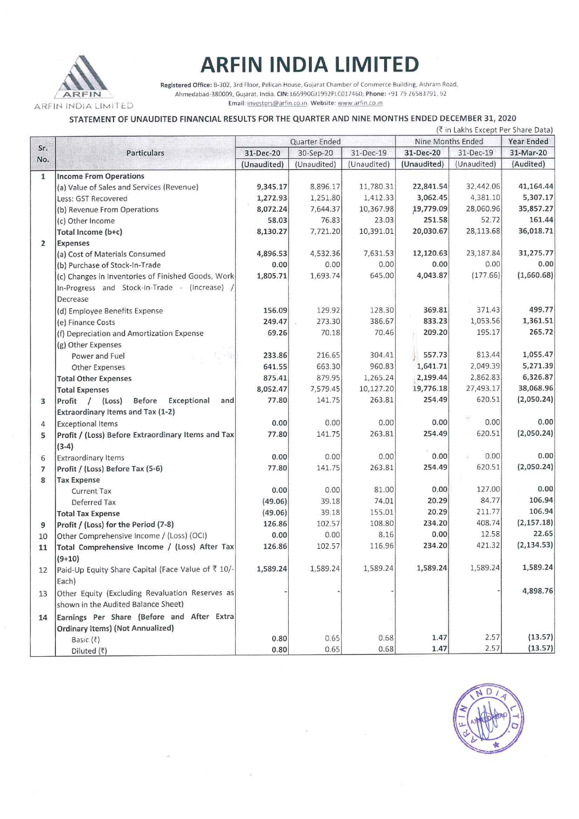

## **ARFIN INDIA LIMITED**

Registered Office: B-302, 3rd Floor, Pelican House. Gujarat Chamber of Commerce Building, Ashram Road. Ahmedabad-380009, Gujarat, India. CIN: L65990GJ1992PLC017460; Phone: +91 79 26583791, 92 **Email: 1nvestors@arf1n co 1n, W ebsite: www arfm .co 1n** 

## STATEMENT OF UNAUDITED FINANCIAL RESULTS FOR THE QUARTER AND NINE MONTHS ENDED DECEMBER 31, 2020

|                | (₹ in Lakhs Except Per Share Data)                  |               |             |                   |             |                   |             |
|----------------|-----------------------------------------------------|---------------|-------------|-------------------|-------------|-------------------|-------------|
| Sr.            | <b>Particulars</b>                                  | Quarter Ended |             | Nine Months Ended |             | <b>Year Ended</b> |             |
| No.            |                                                     | 31-Dec-20     | 30-Sep-20   | 31-Dec-19         | 31-Dec-20   | 31-Dec-19         | 31-Mar-20   |
|                |                                                     | (Unaudited)   | (Unaudited) | (Unaudited)       | (Unaudited) | (Unaudited)       | (Audited)   |
| $\mathbf{1}$   | <b>Income From Operations</b>                       |               |             |                   |             |                   |             |
|                | (a) Value of Sales and Services (Revenue)           | 9,345.17      | 8,896.17    | 11,780.31         | 22,841.54   | 32,442.06         | 41,164.44   |
|                | Less: GST Recovered                                 | 1,272.93      | 1,251.80    | 1,412.33          | 3,062.45    | 4,381.10          | 5,307.17    |
|                | (b) Revenue From Operations                         | 8,072.24      | 7,644.37    | 10,367.98         | 19,779.09   | 28,060.96         | 35,857.27   |
|                | (c) Other Income                                    | 58.03         | 76.83       | 23.03             | 251.58      | 52.72             | 161.44      |
|                | Total Income (b+c)                                  | 8,130.27      | 7,721.20    | 10,391.01         | 20,030.67   | 28,113.68         | 36,018.71   |
| $\overline{2}$ | <b>Expenses</b>                                     |               |             |                   |             |                   |             |
|                | (a) Cost of Materials Consumed                      | 4,896.53      | 4,532.36    | 7,631.53          | 12,120.63   | 23,187.84         | 31,275.77   |
|                | (b) Purchase of Stock-In-Trade                      | 0.00          | 0.00        | 0.00              | 0.00        | 0.00              | 0.00        |
|                | (c) Changes in Inventories of Finished Goods, Work- | 1,805.71      | 1,693.74    | 645.00            | 4,043.87    | (177.66)          | (1,660.68)  |
|                | In-Progress and Stock-In-Trade - (Increase)         |               |             |                   |             |                   |             |
|                | Decrease                                            |               |             |                   |             |                   |             |
|                | (d) Employee Benefits Expense                       | 156.09        | 129.92      | 128.30            | 369.81      | 371.43            | 499.77      |
|                | (e) Finance Costs                                   | 249.47        | 273.30      | 386.67            | 833.23      | 1,053.56          | 1,361.51    |
|                | (f) Depreciation and Amortization Expense           | 69.26         | 70.18       | 70.46             | 209.20      | 195.17            | 265.72      |
|                | (g) Other Expenses                                  |               |             |                   |             |                   |             |
|                | Power and Fuel                                      | 233.86        | 216.65      | 304.41            | 557.73      | 813.44            | 1,055.47    |
|                | Other Expenses                                      | 641.55        | 663.30      | 960.83            | 1,641.71    | 2,049.39          | 5,271.39    |
|                | <b>Total Other Expenses</b>                         | 875.41        | 879.95      | 1,265.24          | 2,199.44    | 2,862.83          | 6,326.87    |
|                | <b>Total Expenses</b>                               | 8,052.47      | 7,579.45    | 10,127.20         | 19,776.18   | 27,493.17         | 38,068.96   |
| 3              | Profit / (Loss)<br>Before<br>Exceptional<br>and     | 77.80         | 141.75      | 263.81            | 254.49      | 620.51            | (2,050.24)  |
|                | Extraordinary Items and Tax (1-2)                   |               |             |                   |             |                   |             |
| 4              | <b>Exceptional Items</b>                            | 0.00          | 0.00        | 0.00              | 0.00        | 0.00              | 0.00        |
| 5              | Profit / (Loss) Before Extraordinary Items and Tax  | 77.80         | 141.75      | 263.81            | 254.49      | 620.51            | (2,050.24)  |
|                | $(3-4)$                                             |               |             |                   |             |                   |             |
| 6              | <b>Extraordinary Items</b>                          | 0.00          | 0.00        | 0.00              | 0.00        | 0.00              | 0.00        |
| $\overline{7}$ | Profit / (Loss) Before Tax (5-6)                    | 77.80         | 141.75      | 263.81            | 254.49      | 620.51            | (2,050.24)  |
| 8              | <b>Tax Expense</b>                                  |               |             |                   |             |                   |             |
|                | <b>Current Tax</b>                                  | 0.00          | 0.00        | 81.00             | 0.00        | 127.00            | 0.00        |
|                | Deferred Tax                                        | (49.06)       | 39.18       | 74.01             | 20.29       | 84.77             | 106.94      |
|                | <b>Total Tax Expense</b>                            | (49.06)       | 39.18       | 155.01            | 20.29       | 211.77            | 106.94      |
| 9              | Profit / (Loss) for the Period (7-8)                | 126.86        | 102.57      | 108.80            | 234.20      | 408.74            | (2, 157.18) |
| 10             | Other Comprehensive Income / (Loss) (OCI)           | 0.00          | 0.00        | 8.16              | 0.00        | 12.58             | 22.65       |
|                | Total Comprehensive Income / (Loss) After Tax       | 126.86        | 102.57      | 116.96            | 234.20      | 421.32            | (2, 134.53) |
| 11             | $(9+10)$                                            |               |             |                   |             |                   |             |
|                | Paid-Up Equity Share Capital (Face Value of ₹ 10/-  | 1,589.24      | 1,589.24    | 1,589.24          | 1,589.24    | 1,589.24          | 1,589.24    |
| 12             |                                                     |               |             |                   |             |                   |             |
|                | Each)                                               |               |             |                   |             |                   | 4,898.76    |
| 13             | Other Equity (Excluding Revaluation Reserves as     |               |             |                   |             |                   |             |
|                | shown in the Audited Balance Sheet)                 |               |             |                   |             |                   |             |
| 14             | Earnings Per Share (Before and After Extra          |               |             |                   |             |                   |             |
|                | <b>Ordinary Items) (Not Annualized)</b>             |               |             |                   |             |                   |             |
|                | Basic (?)                                           | 0.80          | 0.65        | 0.68              | 1.47        | 2.57              | (13.57)     |
|                | Diluted (₹)                                         | 0.80          | 0.65        | 0.68              | 1.47        | 2.57              | (13.57)     |

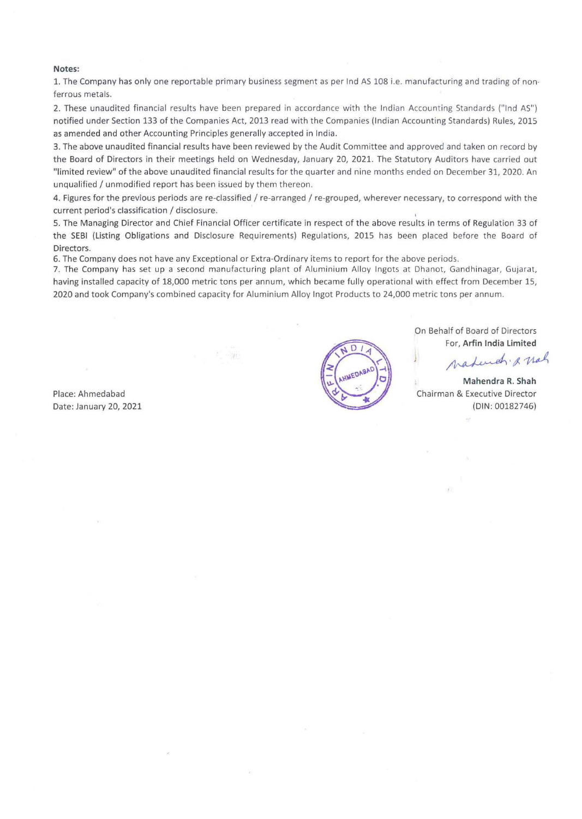## Notes:

1. The Company has only one reportable primary business segment as per Ind AS 108 i.e. manufacturing and trading of non· ferrous metals.

2. These unaudited financial results have been prepared in accordance with the Indian Accounting Standards ("Ind AS") notified under Section 133 of the Companies Act, 2013 read with the Companies (Indian Accounting Standards) Rules, 2015 as amended and other Accounting Principles generally accepted in India.

3. The above unaudited financial results have been reviewed by the Audit Committee and approved and taken on record by the Board of Directors in their meetings held on Wednesday, January 20, 2021. The Statutory Auditors have carried out "limited review" of the above unaudited financial results for the quarter and nine months ended on December 31, 2020. An unqualified / unmodified report has been issued by them thereon.

4. Figures for the previous periods are re-classified / re-arranged / re-grouped, wherever necessary, to correspond with the current period's classification / disclosure.

5. The Managing Director and Chief Financial Officer certificate in respect of the above results in terms of Regulation 33 of the SEBI (Listing Obligations and Disclosure Requirements) Regulations, 2015 has been placed before the Board of Directors.

6. The Company does not have anv Exceptional or Extra-Ordinary items to report for the above periods.

7. The Company has set up a second manufacturing plant of Aluminium Alloy Ingots at Dhanot, Gandhinagar, Gujarat, having installed capacity of 18,000 metric tons per annum, which became fully operational with effect from December 15, 2020 and took Company's combined capacity for Aluminium Alloy Ingot Products to 24,000 metric tons per annum.

Place: Ahmedabad Date: January 20, 2021



On Behalf of Board of Directors For, Arfin India Limited

Mahendr. & nah

Mahendra R. Shah Chairman & Executive Director (DIN: 00182746}